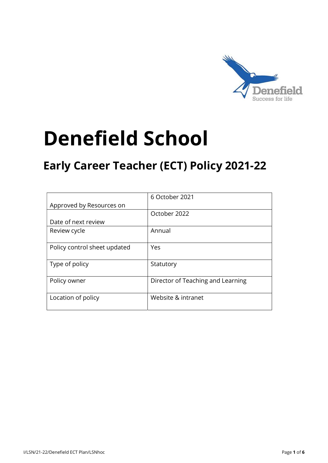

# Denefield School

# Early Career Teacher (ECT) Policy 2021-22

|                              | 6 October 2021                    |
|------------------------------|-----------------------------------|
| Approved by Resources on     |                                   |
|                              | October 2022                      |
| Date of next review          |                                   |
| Review cycle                 | Annual                            |
|                              |                                   |
| Policy control sheet updated | Yes                               |
|                              |                                   |
| Type of policy               | Statutory                         |
|                              |                                   |
| Policy owner                 | Director of Teaching and Learning |
|                              |                                   |
| Location of policy           | Website & intranet                |
|                              |                                   |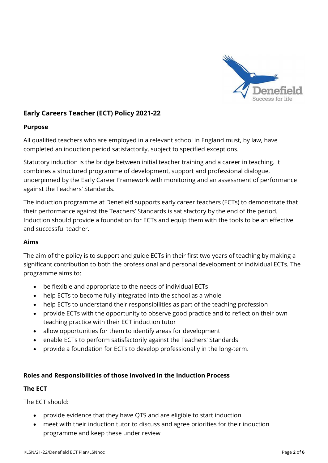

# Early Careers Teacher (ECT) Policy 2021-22

#### Purpose

All qualified teachers who are employed in a relevant school in England must, by law, have completed an induction period satisfactorily, subject to specified exceptions.

Statutory induction is the bridge between initial teacher training and a career in teaching. It combines a structured programme of development, support and professional dialogue, underpinned by the Early Career Framework with monitoring and an assessment of performance against the Teachers' Standards.

The induction programme at Denefield supports early career teachers (ECTs) to demonstrate that their performance against the Teachers' Standards is satisfactory by the end of the period. Induction should provide a foundation for ECTs and equip them with the tools to be an effective and successful teacher.

#### Aims

The aim of the policy is to support and guide ECTs in their first two years of teaching by making a significant contribution to both the professional and personal development of individual ECTs. The programme aims to:

- be flexible and appropriate to the needs of individual ECTs
- help ECTs to become fully integrated into the school as a whole
- help ECTs to understand their responsibilities as part of the teaching profession
- provide ECTs with the opportunity to observe good practice and to reflect on their own teaching practice with their ECT induction tutor
- allow opportunities for them to identify areas for development
- enable ECTs to perform satisfactorily against the Teachers' Standards
- provide a foundation for ECTs to develop professionally in the long-term.

#### Roles and Responsibilities of those involved in the Induction Process

#### The ECT

The ECT should:

- provide evidence that they have QTS and are eligible to start induction
- meet with their induction tutor to discuss and agree priorities for their induction programme and keep these under review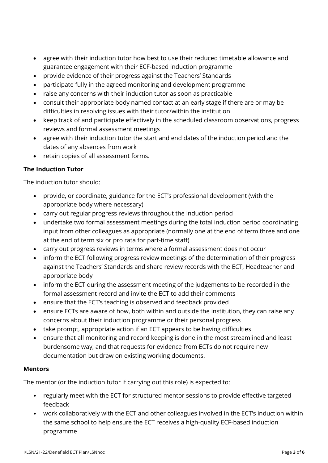- agree with their induction tutor how best to use their reduced timetable allowance and guarantee engagement with their ECF-based induction programme
- provide evidence of their progress against the Teachers' Standards
- participate fully in the agreed monitoring and development programme
- raise any concerns with their induction tutor as soon as practicable
- consult their appropriate body named contact at an early stage if there are or may be difficulties in resolving issues with their tutor/within the institution
- keep track of and participate effectively in the scheduled classroom observations, progress reviews and formal assessment meetings
- agree with their induction tutor the start and end dates of the induction period and the dates of any absences from work
- retain copies of all assessment forms.

# The Induction Tutor

The induction tutor should:

- provide, or coordinate, guidance for the ECT's professional development (with the appropriate body where necessary)
- carry out regular progress reviews throughout the induction period
- undertake two formal assessment meetings during the total induction period coordinating input from other colleagues as appropriate (normally one at the end of term three and one at the end of term six or pro rata for part-time staff)
- carry out progress reviews in terms where a formal assessment does not occur
- inform the ECT following progress review meetings of the determination of their progress against the Teachers' Standards and share review records with the ECT, Headteacher and appropriate body
- inform the ECT during the assessment meeting of the judgements to be recorded in the formal assessment record and invite the ECT to add their comments
- ensure that the ECT's teaching is observed and feedback provided
- ensure ECTs are aware of how, both within and outside the institution, they can raise any concerns about their induction programme or their personal progress
- take prompt, appropriate action if an ECT appears to be having difficulties
- ensure that all monitoring and record keeping is done in the most streamlined and least burdensome way, and that requests for evidence from ECTs do not require new documentation but draw on existing working documents.

#### Mentors

The mentor (or the induction tutor if carrying out this role) is expected to:

- regularly meet with the ECT for structured mentor sessions to provide effective targeted feedback
- work collaboratively with the ECT and other colleagues involved in the ECT's induction within the same school to help ensure the ECT receives a high-quality ECF-based induction programme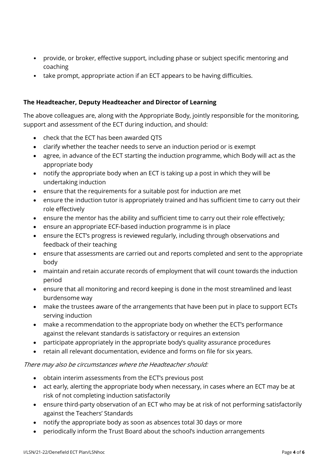- provide, or broker, effective support, including phase or subject specific mentoring and coaching
- take prompt, appropriate action if an ECT appears to be having difficulties.

# The Headteacher, Deputy Headteacher and Director of Learning

The above colleagues are, along with the Appropriate Body, jointly responsible for the monitoring, support and assessment of the ECT during induction, and should:

- check that the ECT has been awarded QTS
- clarify whether the teacher needs to serve an induction period or is exempt
- agree, in advance of the ECT starting the induction programme, which Body will act as the appropriate body
- notify the appropriate body when an ECT is taking up a post in which they will be undertaking induction
- ensure that the requirements for a suitable post for induction are met
- ensure the induction tutor is appropriately trained and has sufficient time to carry out their role effectively
- ensure the mentor has the ability and sufficient time to carry out their role effectively;
- ensure an appropriate ECF-based induction programme is in place
- ensure the ECT's progress is reviewed regularly, including through observations and feedback of their teaching
- ensure that assessments are carried out and reports completed and sent to the appropriate body
- maintain and retain accurate records of employment that will count towards the induction period
- ensure that all monitoring and record keeping is done in the most streamlined and least burdensome way
- make the trustees aware of the arrangements that have been put in place to support ECTs serving induction
- make a recommendation to the appropriate body on whether the ECT's performance against the relevant standards is satisfactory or requires an extension
- participate appropriately in the appropriate body's quality assurance procedures
- retain all relevant documentation, evidence and forms on file for six years.

#### There may also be circumstances where the Headteacher should:

- obtain interim assessments from the ECT's previous post
- act early, alerting the appropriate body when necessary, in cases where an ECT may be at risk of not completing induction satisfactorily
- ensure third-party observation of an ECT who may be at risk of not performing satisfactorily against the Teachers' Standards
- notify the appropriate body as soon as absences total 30 days or more
- periodically inform the Trust Board about the school's induction arrangements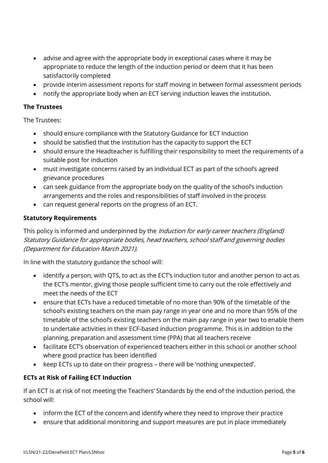- advise and agree with the appropriate body in exceptional cases where it may be appropriate to reduce the length of the induction period or deem that it has been satisfactorily completed
- provide interim assessment reports for staff moving in between formal assessment periods
- notify the appropriate body when an ECT serving induction leaves the institution.

#### The Trustees

The Trustees:

- should ensure compliance with the Statutory Guidance for ECT Induction
- should be satisfied that the institution has the capacity to support the ECT
- should ensure the Headteacher is fulfilling their responsibility to meet the requirements of a suitable post for induction
- must investigate concerns raised by an individual ECT as part of the school's agreed grievance procedures
- can seek guidance from the appropriate body on the quality of the school's induction arrangements and the roles and responsibilities of staff involved in the process
- can request general reports on the progress of an ECT.

# Statutory Requirements

This policy is informed and underpinned by the *Induction for early career teachers (England)* Statutory Guidance for appropriate bodies, head teachers, school staff and governing bodies (Department for Education March 2021).

In line with the statutory guidance the school will:

- identify a person, with QTS, to act as the ECT's induction tutor and another person to act as the ECT's mentor, giving those people sufficient time to carry out the role effectively and meet the needs of the ECT
- ensure that ECTs have a reduced timetable of no more than 90% of the timetable of the school's existing teachers on the main pay range in year one and no more than 95% of the timetable of the school's existing teachers on the main pay range in year two to enable them to undertake activities in their ECF-based induction programme. This is in addition to the planning, preparation and assessment time (PPA) that all teachers receive
- facilitate ECT's observation of experienced teachers either in this school or another school where good practice has been identified
- keep ECTs up to date on their progress there will be 'nothing unexpected'.

# ECTs at Risk of Failing ECT Induction

If an ECT is at risk of not meeting the Teachers' Standards by the end of the induction period, the school will:

- inform the ECT of the concern and identify where they need to improve their practice
- ensure that additional monitoring and support measures are put in place immediately